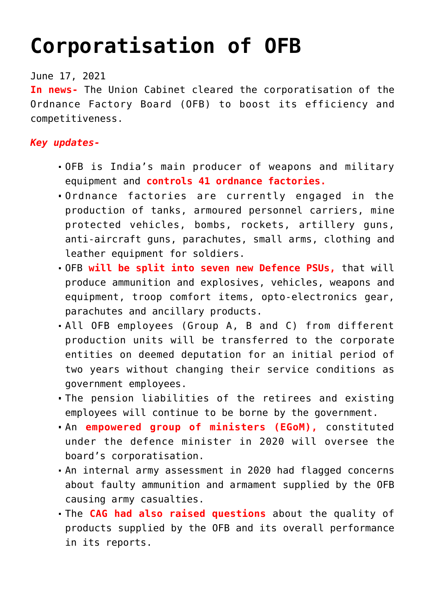## **[Corporatisation of OFB](https://journalsofindia.com/corporatisation-of-ofb/)**

June 17, 2021

**In news-** The Union Cabinet cleared the corporatisation of the Ordnance Factory Board (OFB) to boost its efficiency and competitiveness.

## *Key updates-*

- OFB is India's main producer of weapons and military equipment and **controls 41 ordnance factories.**
- Ordnance factories are currently engaged in the production of tanks, armoured personnel carriers, mine protected vehicles, bombs, rockets, artillery guns, anti-aircraft guns, parachutes, small arms, clothing and leather equipment for soldiers.
- OFB **will be split into seven new Defence PSUs,** that will produce ammunition and explosives, vehicles, weapons and equipment, troop comfort items, opto-electronics gear, parachutes and ancillary products.
- All OFB employees (Group A, B and C) from different production units will be transferred to the corporate entities on deemed deputation for an initial period of two years without changing their service conditions as government employees.
- The pension liabilities of the retirees and existing employees will continue to be borne by the government.
- An **empowered group of ministers (EGoM),** constituted under the defence minister in 2020 will oversee the board's corporatisation.
- An internal army assessment in 2020 had flagged concerns about faulty ammunition and armament supplied by the OFB causing army casualties.
- The **CAG had also raised questions** about the quality of products supplied by the OFB and its overall performance in its reports.